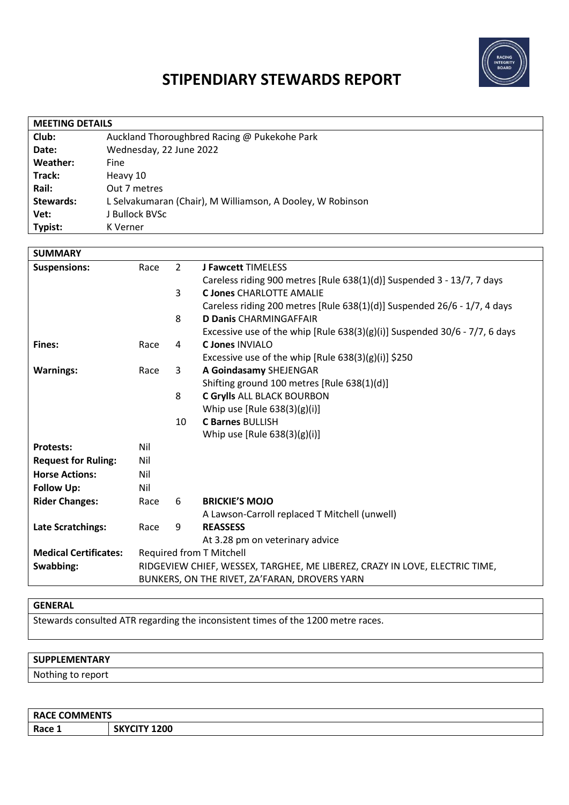

# **STIPENDIARY STEWARDS REPORT**

| <b>MEETING DETAILS</b> |                                                            |  |  |  |
|------------------------|------------------------------------------------------------|--|--|--|
| Club:                  | Auckland Thoroughbred Racing @ Pukekohe Park               |  |  |  |
| Date:                  | Wednesday, 22 June 2022                                    |  |  |  |
| Weather:               | Fine                                                       |  |  |  |
| Track:                 | Heavy 10                                                   |  |  |  |
| Rail:                  | Out 7 metres                                               |  |  |  |
| <b>Stewards:</b>       | L Selvakumaran (Chair), M Williamson, A Dooley, W Robinson |  |  |  |
| Vet:                   | J Bullock BVSc                                             |  |  |  |
| Typist:                | K Verner                                                   |  |  |  |

| <b>SUMMARY</b>               |                                                                             |                |                                                                               |
|------------------------------|-----------------------------------------------------------------------------|----------------|-------------------------------------------------------------------------------|
| <b>Suspensions:</b>          | Race                                                                        | $\overline{2}$ | <b>J Fawcett TIMELESS</b>                                                     |
|                              |                                                                             |                | Careless riding 900 metres [Rule 638(1)(d)] Suspended 3 - 13/7, 7 days        |
|                              |                                                                             | 3              | <b>C Jones CHARLOTTE AMALIE</b>                                               |
|                              |                                                                             |                | Careless riding 200 metres [Rule 638(1)(d)] Suspended 26/6 - 1/7, 4 days      |
|                              |                                                                             | 8              | <b>D Danis CHARMINGAFFAIR</b>                                                 |
|                              |                                                                             |                | Excessive use of the whip [Rule $638(3)(g)(i)$ ] Suspended 30/6 - 7/7, 6 days |
| Fines:                       | Race                                                                        | 4              | <b>C Jones INVIALO</b>                                                        |
|                              |                                                                             |                | Excessive use of the whip [Rule $638(3)(g)(i)$ ] \$250                        |
| <b>Warnings:</b>             | Race                                                                        | 3              | A Goindasamy SHEJENGAR                                                        |
|                              |                                                                             |                | Shifting ground 100 metres [Rule 638(1)(d)]                                   |
|                              |                                                                             | 8              | C Grylls ALL BLACK BOURBON                                                    |
|                              |                                                                             |                | Whip use $[Rule 638(3)(g)(i)]$                                                |
|                              |                                                                             | 10             | <b>C Barnes BULLISH</b>                                                       |
|                              |                                                                             |                | Whip use $[Rule 638(3)(g)(i)]$                                                |
| <b>Protests:</b>             | Nil                                                                         |                |                                                                               |
| <b>Request for Ruling:</b>   | Nil                                                                         |                |                                                                               |
| <b>Horse Actions:</b>        | Nil                                                                         |                |                                                                               |
| <b>Follow Up:</b>            | Nil                                                                         |                |                                                                               |
| <b>Rider Changes:</b>        | Race                                                                        | 6              | <b>BRICKIE'S MOJO</b>                                                         |
|                              |                                                                             |                | A Lawson-Carroll replaced T Mitchell (unwell)                                 |
| <b>Late Scratchings:</b>     | Race                                                                        | 9              | <b>REASSESS</b>                                                               |
|                              |                                                                             |                | At 3.28 pm on veterinary advice                                               |
| <b>Medical Certificates:</b> | Required from T Mitchell                                                    |                |                                                                               |
| Swabbing:                    | RIDGEVIEW CHIEF, WESSEX, TARGHEE, ME LIBEREZ, CRAZY IN LOVE, ELECTRIC TIME, |                |                                                                               |
|                              | BUNKERS, ON THE RIVET, ZA'FARAN, DROVERS YARN                               |                |                                                                               |

# **GENERAL**

Stewards consulted ATR regarding the inconsistent times of the 1200 metre races.

# **SUPPLEMENTARY**

Nothing to report

| <b>RACE COMMENTS</b> |              |  |  |  |
|----------------------|--------------|--|--|--|
| Race 1               | SKYCITY 1200 |  |  |  |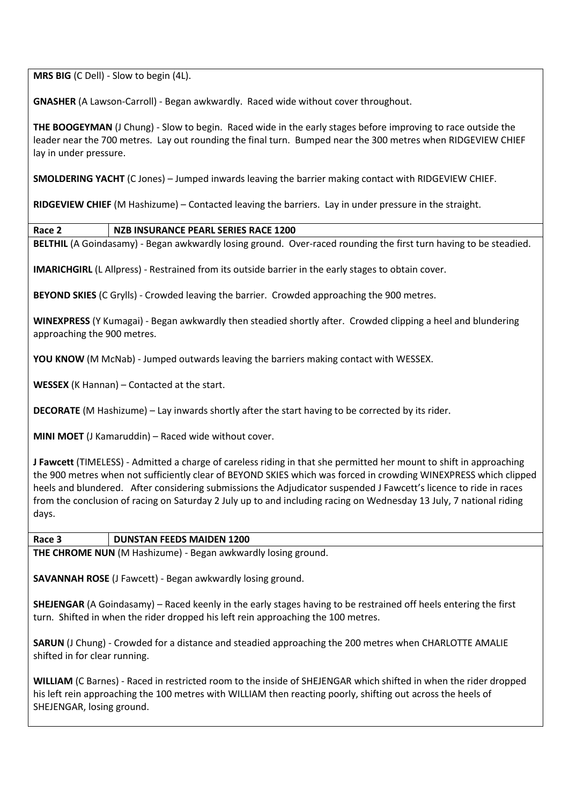**MRS BIG** (C Dell) - Slow to begin (4L).

**GNASHER** (A Lawson-Carroll) - Began awkwardly. Raced wide without cover throughout.

**THE BOOGEYMAN** (J Chung) - Slow to begin. Raced wide in the early stages before improving to race outside the leader near the 700 metres. Lay out rounding the final turn. Bumped near the 300 metres when RIDGEVIEW CHIEF lay in under pressure.

**SMOLDERING YACHT** (C Jones) – Jumped inwards leaving the barrier making contact with RIDGEVIEW CHIEF.

**RIDGEVIEW CHIEF** (M Hashizume) – Contacted leaving the barriers. Lay in under pressure in the straight.

**Race 2 NZB INSURANCE PEARL SERIES RACE 1200**

**BELTHIL** (A Goindasamy) - Began awkwardly losing ground. Over-raced rounding the first turn having to be steadied.

**IMARICHGIRL** (L Allpress) - Restrained from its outside barrier in the early stages to obtain cover.

**BEYOND SKIES** (C Grylls) - Crowded leaving the barrier. Crowded approaching the 900 metres.

**WINEXPRESS** (Y Kumagai) - Began awkwardly then steadied shortly after. Crowded clipping a heel and blundering approaching the 900 metres.

**YOU KNOW** (M McNab) - Jumped outwards leaving the barriers making contact with WESSEX.

**WESSEX** (K Hannan) – Contacted at the start.

**DECORATE** (M Hashizume) – Lay inwards shortly after the start having to be corrected by its rider.

**MINI MOET** (J Kamaruddin) – Raced wide without cover.

**J Fawcett** (TIMELESS) - Admitted a charge of careless riding in that she permitted her mount to shift in approaching the 900 metres when not sufficiently clear of BEYOND SKIES which was forced in crowding WINEXPRESS which clipped heels and blundered. After considering submissions the Adjudicator suspended J Fawcett's licence to ride in races from the conclusion of racing on Saturday 2 July up to and including racing on Wednesday 13 July, 7 national riding days.

#### **Race 3 DUNSTAN FEEDS MAIDEN 1200**

**THE CHROME NUN** (M Hashizume) - Began awkwardly losing ground.

**SAVANNAH ROSE** (J Fawcett) - Began awkwardly losing ground.

**SHEJENGAR** (A Goindasamy) – Raced keenly in the early stages having to be restrained off heels entering the first turn. Shifted in when the rider dropped his left rein approaching the 100 metres.

**SARUN** (J Chung) - Crowded for a distance and steadied approaching the 200 metres when CHARLOTTE AMALIE shifted in for clear running.

**WILLIAM** (C Barnes) - Raced in restricted room to the inside of SHEJENGAR which shifted in when the rider dropped his left rein approaching the 100 metres with WILLIAM then reacting poorly, shifting out across the heels of SHEJENGAR, losing ground.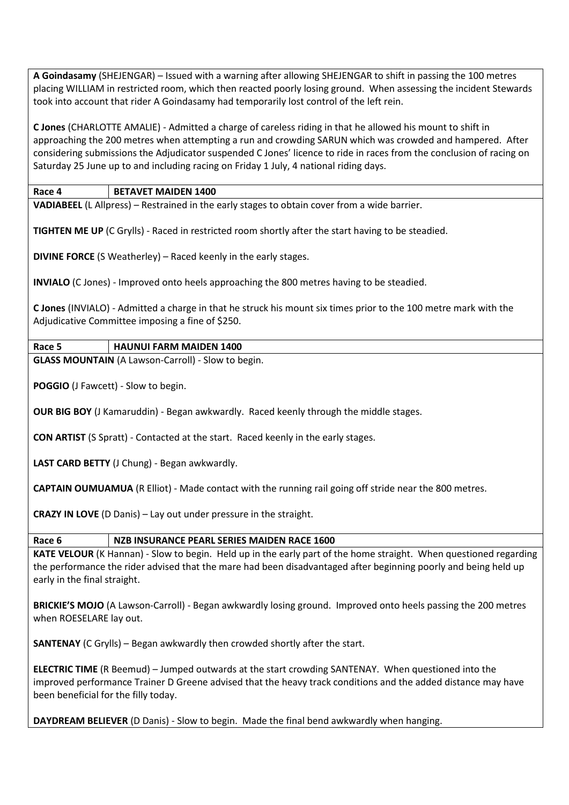**A Goindasamy** (SHEJENGAR) – Issued with a warning after allowing SHEJENGAR to shift in passing the 100 metres placing WILLIAM in restricted room, which then reacted poorly losing ground. When assessing the incident Stewards took into account that rider A Goindasamy had temporarily lost control of the left rein.

**C Jones** (CHARLOTTE AMALIE) - Admitted a charge of careless riding in that he allowed his mount to shift in approaching the 200 metres when attempting a run and crowding SARUN which was crowded and hampered. After considering submissions the Adjudicator suspended C Jones' licence to ride in races from the conclusion of racing on Saturday 25 June up to and including racing on Friday 1 July, 4 national riding days.

## **Race 4 BETAVET MAIDEN 1400**

**VADIABEEL** (L Allpress) – Restrained in the early stages to obtain cover from a wide barrier.

**TIGHTEN ME UP** (C Grylls) - Raced in restricted room shortly after the start having to be steadied.

**DIVINE FORCE** (S Weatherley) – Raced keenly in the early stages.

**INVIALO** (C Jones) - Improved onto heels approaching the 800 metres having to be steadied.

**C Jones** (INVIALO) - Admitted a charge in that he struck his mount six times prior to the 100 metre mark with the Adjudicative Committee imposing a fine of \$250.

# **Race 5 HAUNUI FARM MAIDEN 1400**

**GLASS MOUNTAIN** (A Lawson-Carroll) - Slow to begin.

**POGGIO** (J Fawcett) - Slow to begin.

**OUR BIG BOY** (J Kamaruddin) - Began awkwardly. Raced keenly through the middle stages.

**CON ARTIST** (S Spratt) - Contacted at the start. Raced keenly in the early stages.

**LAST CARD BETTY** (J Chung) - Began awkwardly.

**CAPTAIN OUMUAMUA** (R Elliot) - Made contact with the running rail going off stride near the 800 metres.

**CRAZY IN LOVE** (D Danis) – Lay out under pressure in the straight.

#### **Race 6 NZB INSURANCE PEARL SERIES MAIDEN RACE 1600**

**KATE VELOUR** (K Hannan) - Slow to begin. Held up in the early part of the home straight. When questioned regarding the performance the rider advised that the mare had been disadvantaged after beginning poorly and being held up early in the final straight.

**BRICKIE'S MOJO** (A Lawson-Carroll) - Began awkwardly losing ground. Improved onto heels passing the 200 metres when ROESELARE lay out.

**SANTENAY** (C Grylls) – Began awkwardly then crowded shortly after the start.

**ELECTRIC TIME** (R Beemud) – Jumped outwards at the start crowding SANTENAY. When questioned into the improved performance Trainer D Greene advised that the heavy track conditions and the added distance may have been beneficial for the filly today.

**DAYDREAM BELIEVER** (D Danis) - Slow to begin. Made the final bend awkwardly when hanging.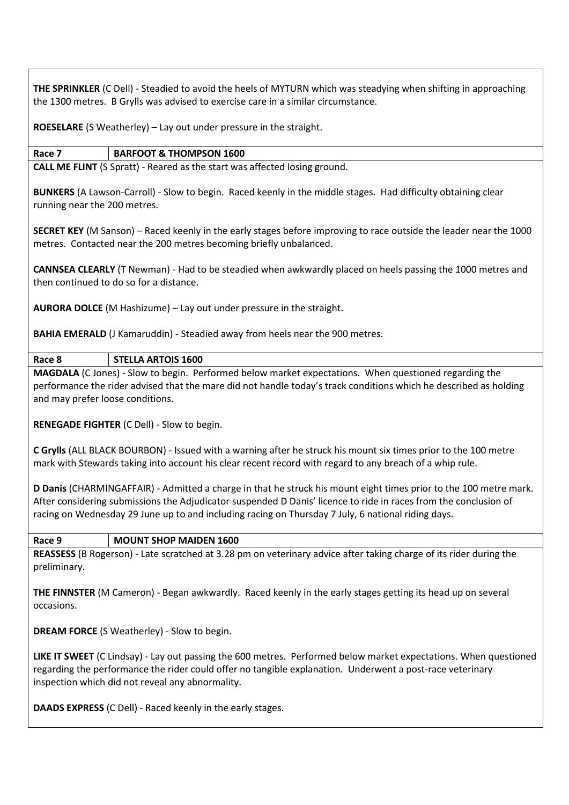**THE SPRINKLER** (C Dell) - Steadied to avoid the heels of MYTURN which was steadying when shifting in approaching the 1300 metres. B Grylls was advised to exercise care in a similar circumstance.

**ROESELARE** (S Weatherley) – Lay out under pressure in the straight.

# **Race 7 BARFOOT & THOMPSON 1600**

**CALL ME FLINT** (S Spratt) - Reared as the start was affected losing ground.

**BUNKERS** (A Lawson-Carroll) - Slow to begin. Raced keenly in the middle stages. Had difficulty obtaining clear running near the 200 metres.

**SECRET KEY** (M Sanson) – Raced keenly in the early stages before improving to race outside the leader near the 1000 metres. Contacted near the 200 metres becoming briefly unbalanced.

**CANNSEA CLEARLY** (T Newman) - Had to be steadied when awkwardly placed on heels passing the 1000 metres and then continued to do so for a distance.

**AURORA DOLCE** (M Hashizume) – Lay out under pressure in the straight.

**BAHIA EMERALD** (J Kamaruddin) - Steadied away from heels near the 900 metres.

**Race 8 STELLA ARTOIS 1600**

**MAGDALA** (C Jones) - Slow to begin. Performed below market expectations. When questioned regarding the performance the rider advised that the mare did not handle today's track conditions which he described as holding and may prefer loose conditions.

**RENEGADE FIGHTER** (C Dell) - Slow to begin.

**C Grylls** (ALL BLACK BOURBON) - Issued with a warning after he struck his mount six times prior to the 100 metre mark with Stewards taking into account his clear recent record with regard to any breach of a whip rule.

**D Danis** (CHARMINGAFFAIR) - Admitted a charge in that he struck his mount eight times prior to the 100 metre mark. After considering submissions the Adjudicator suspended D Danis' licence to ride in races from the conclusion of racing on Wednesday 29 June up to and including racing on Thursday 7 July, 6 national riding days.

#### **Race 9 MOUNT SHOP MAIDEN 1600**

**REASSESS** (B Rogerson) - Late scratched at 3.28 pm on veterinary advice after taking charge of its rider during the preliminary.

**THE FINNSTER** (M Cameron) - Began awkwardly. Raced keenly in the early stages getting its head up on several occasions.

**DREAM FORCE** (S Weatherley) - Slow to begin.

**LIKE IT SWEET** (C Lindsay) - Lay out passing the 600 metres. Performed below market expectations. When questioned regarding the performance the rider could offer no tangible explanation. Underwent a post-race veterinary inspection which did not reveal any abnormality.

**DAADS EXPRESS** (C Dell) - Raced keenly in the early stages.